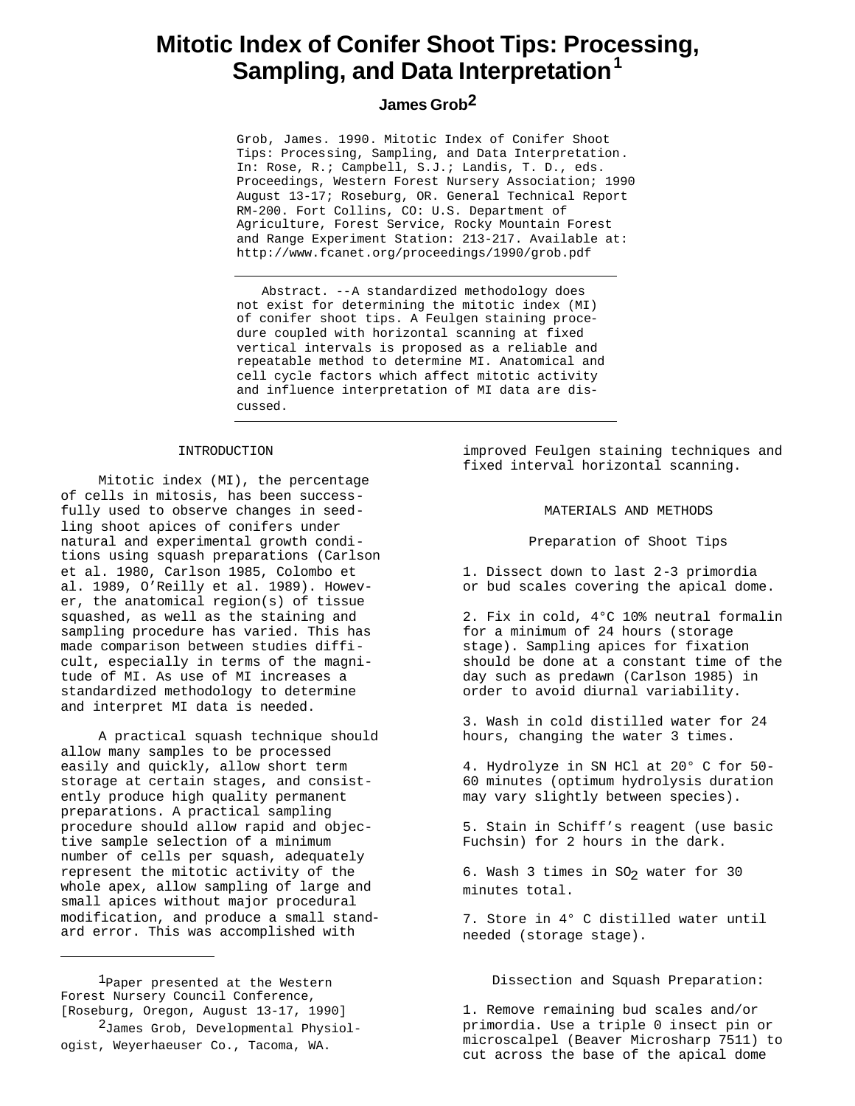# **Mitotic Index of Conifer Shoot Tips: Processing, Sampling, and Data Interpretation<sup>1</sup>**

# **James Grob2**

Grob, James. 1990. Mitotic Index of Conifer Shoot Tips: Processing, Sampling, and Data Interpretation. In: Rose, R.; Campbell, S.J.; Landis, T. D., eds. Proceedings, Western Forest Nursery Association; 1990 August 13-17; Roseburg, OR. General Technical Report RM-200. Fort Collins, CO: U.S. Department of Agriculture, Forest Service, Rocky Mountain Forest and Range Experiment Station: 213-217. Available at: http://www.fcanet.org/proceedings/1990/grob.pdf

Abstract. --A standardized methodology does not exist for determining the mitotic index (MI) of conifer shoot tips. A Feulgen staining procedure coupled with horizontal scanning at fixed vertical intervals is proposed as a reliable and repeatable method to determine MI. Anatomical and cell cycle factors which affect mitotic activity and influence interpretation of MI data are discussed.

# INTRODUCTION

Mitotic index (MI), the percentage of cells in mitosis, has been successfully used to observe changes in seedling shoot apices of conifers under natural and experimental growth conditions using squash preparations (Carlson et al. 1980, Carlson 1985, Colombo et al. 1989, O'Reilly et al. 1989). However, the anatomical region(s) of tissue squashed, as well as the staining and sampling procedure has varied. This has made comparison between studies difficult, especially in terms of the magnitude of MI. As use of MI increases a standardized methodology to determine and interpret MI data is needed.

A practical squash technique should allow many samples to be processed easily and quickly, allow short term storage at certain stages, and consistently produce high quality permanent preparations. A practical sampling procedure should allow rapid and objective sample selection of a minimum number of cells per squash, adequately represent the mitotic activity of the whole apex, allow sampling of large and small apices without major procedural modification, and produce a small standard error. This was accomplished with

1Paper presented at the Western Forest Nursery Council Conference, [Roseburg, Oregon, August 13-17, 1990]

<sup>2</sup>James Grob, Developmental Physiologist, Weyerhaeuser Co., Tacoma, WA.

improved Feulgen staining techniques and fixed interval horizontal scanning.

# MATERIALS AND METHODS

Preparation of Shoot Tips

1. Dissect down to last 2-3 primordia or bud scales covering the apical dome.

2. Fix in cold, 4°C 10% neutral formalin for a minimum of 24 hours (storage stage). Sampling apices for fixation should be done at a constant time of the day such as predawn (Carlson 1985) in order to avoid diurnal variability.

3. Wash in cold distilled water for 24 hours, changing the water 3 times.

4. Hydrolyze in SN HCl at 20° C for 50- 60 minutes (optimum hydrolysis duration may vary slightly between species).

5. Stain in Schiff's reagent (use basic Fuchsin) for 2 hours in the dark.

6. Wash 3 times in SO<sub>2</sub> water for 30 minutes total.

7. Store in 4° C distilled water until needed (storage stage).

Dissection and Squash Preparation:

1. Remove remaining bud scales and/or primordia. Use a triple 0 insect pin or microscalpel (Beaver Microsharp 7511) to cut across the base of the apical dome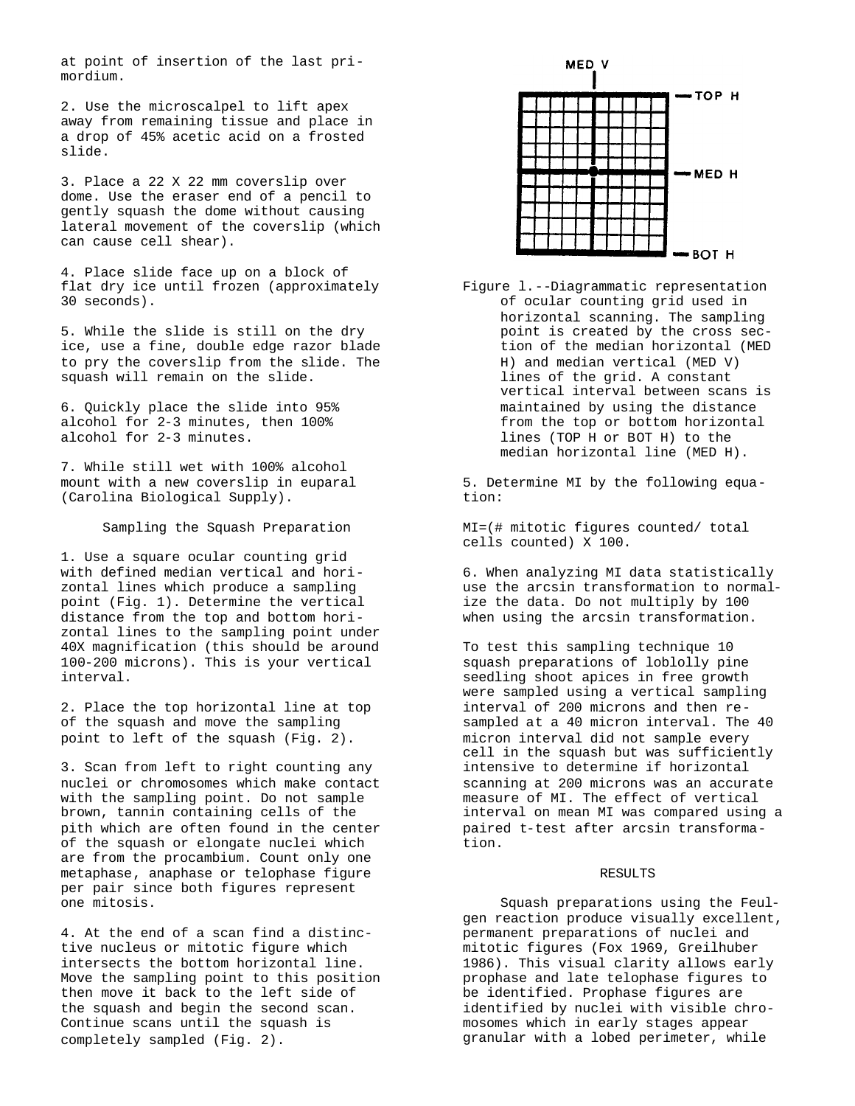at point of insertion of the last primordium.

2. Use the microscalpel to lift apex away from remaining tissue and place in a drop of 45% acetic acid on a frosted slide.

3. Place a 22 X 22 mm coverslip over dome. Use the eraser end of a pencil to gently squash the dome without causing lateral movement of the coverslip (which can cause cell shear).

4. Place slide face up on a block of flat dry ice until frozen (approximately 30 seconds).

5. While the slide is still on the dry ice, use a fine, double edge razor blade to pry the coverslip from the slide. The squash will remain on the slide.

6. Quickly place the slide into 95% alcohol for 2-3 minutes, then 100% alcohol for 2-3 minutes.

7. While still wet with 100% alcohol mount with a new coverslip in euparal (Carolina Biological Supply).

Sampling the Squash Preparation

1. Use a square ocular counting grid with defined median vertical and horizontal lines which produce a sampling point (Fig. 1). Determine the vertical distance from the top and bottom horizontal lines to the sampling point under 40X magnification (this should be around 100-200 microns). This is your vertical interval.

2. Place the top horizontal line at top of the squash and move the sampling point to left of the squash (Fig. 2).

3. Scan from left to right counting any nuclei or chromosomes which make contact with the sampling point. Do not sample brown, tannin containing cells of the pith which are often found in the center of the squash or elongate nuclei which are from the procambium. Count only one metaphase, anaphase or telophase figure per pair since both figures represent one mitosis.

4. At the end of a scan find a distinctive nucleus or mitotic figure which intersects the bottom horizontal line. Move the sampling point to this position then move it back to the left side of the squash and begin the second scan. Continue scans until the squash is completely sampled (Fig. 2).



Figure l.--Diagrammatic representation of ocular counting grid used in horizontal scanning. The sampling point is created by the cross section of the median horizontal (MED H) and median vertical (MED V) lines of the grid. A constant vertical interval between scans is maintained by using the distance from the top or bottom horizontal lines (TOP H or BOT H) to the median horizontal line (MED H).

5. Determine MI by the following equation:

MI=(# mitotic figures counted/ total cells counted) X 100.

6. When analyzing MI data statistically use the arcsin transformation to normalize the data. Do not multiply by 100 when using the arcsin transformation.

To test this sampling technique 10 squash preparations of loblolly pine seedling shoot apices in free growth were sampled using a vertical sampling interval of 200 microns and then resampled at a 40 micron interval. The 40 micron interval did not sample every cell in the squash but was sufficiently intensive to determine if horizontal scanning at 200 microns was an accurate measure of MI. The effect of vertical interval on mean MI was compared using a paired t-test after arcsin transformation.

# RESULTS

Squash preparations using the Feulgen reaction produce visually excellent, permanent preparations of nuclei and mitotic figures (Fox 1969, Greilhuber 1986). This visual clarity allows early prophase and late telophase figures to be identified. Prophase figures are identified by nuclei with visible chromosomes which in early stages appear granular with a lobed perimeter, while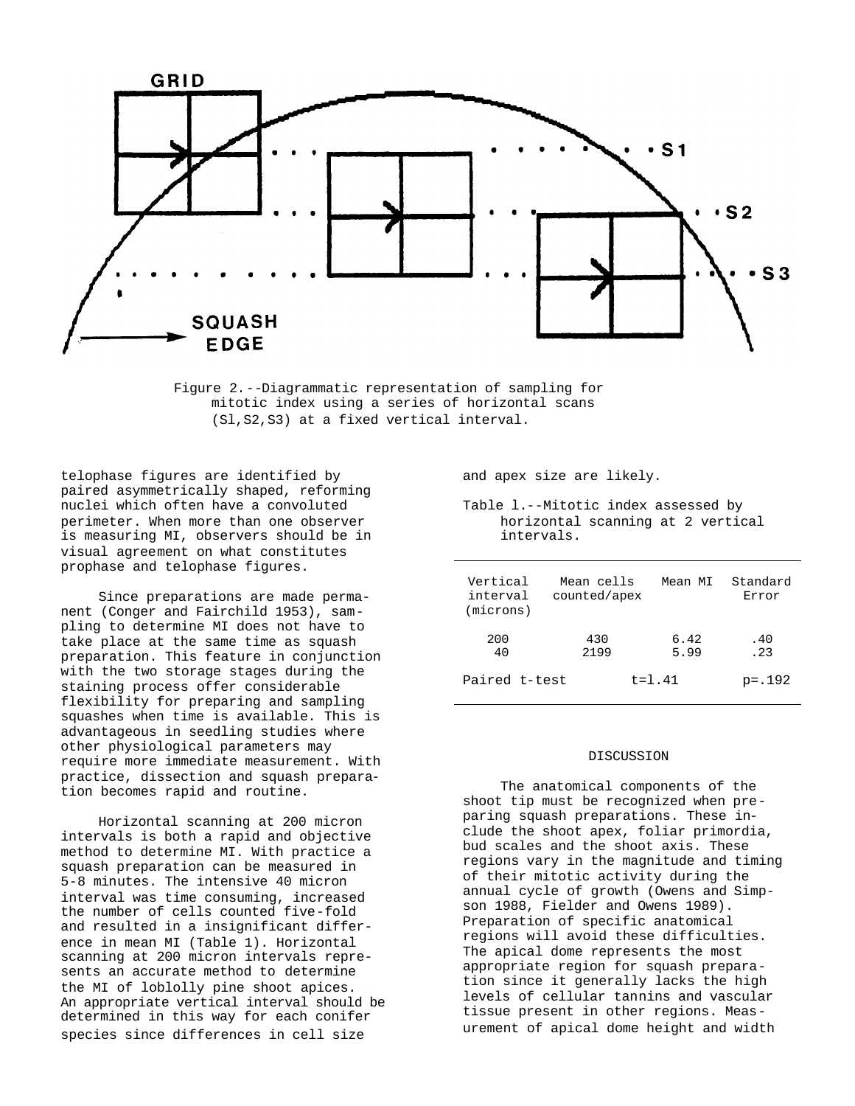

Figure 2.--Diagrammatic representation of sampling for mitotic index using a series of horizontal scans (Sl,S2,S3) at a fixed vertical interval.

telophase figures are identified by paired asymmetrically shaped, reforming nuclei which often have a convoluted perimeter. When more than one observer is measuring MI, observers should be in visual agreement on what constitutes prophase and telophase figures.

Since preparations are made permanent (Conger and Fairchild 1953), sampling to determine MI does not have to take place at the same time as squash preparation. This feature in conjunction with the two storage stages during the staining process offer considerable flexibility for preparing and sampling squashes when time is available. This is advantageous in seedling studies where other physiological parameters may require more immediate measurement. With practice, dissection and squash preparation becomes rapid and routine.

Horizontal scanning at 200 micron intervals is both a rapid and objective method to determine MI. With practice a squash preparation can be measured in 5-8 minutes. The intensive 40 micron interval was time consuming, increased the number of cells counted five-fold and resulted in a insignificant difference in mean MI (Table 1). Horizontal scanning at 200 micron intervals represents an accurate method to determine the MI of loblolly pine shoot apices. An appropriate vertical interval should be determined in this way for each conifer species since differences in cell size

and apex size are likely.

Table l.--Mitotic index assessed by horizontal scanning at 2 vertical intervals.

| Vertical<br>interval<br>(microns) | Mean cells<br>counted/apex | Mean MI      | Standard<br>Error |
|-----------------------------------|----------------------------|--------------|-------------------|
| 200<br>40                         | 430<br>2199                | 6.42<br>5.99 | . 40<br>.23       |
| Paired t-test<br>$t = 1.41$       |                            |              | $p = .192$        |

### DISCUSSION

The anatomical components of the shoot tip must be recognized when preparing squash preparations. These include the shoot apex, foliar primordia, bud scales and the shoot axis. These regions vary in the magnitude and timing of their mitotic activity during the annual cycle of growth (Owens and Simpson 1988, Fielder and Owens 1989). Preparation of specific anatomical regions will avoid these difficulties. The apical dome represents the most appropriate region for squash preparation since it generally lacks the high levels of cellular tannins and vascular tissue present in other regions. Measurement of apical dome height and width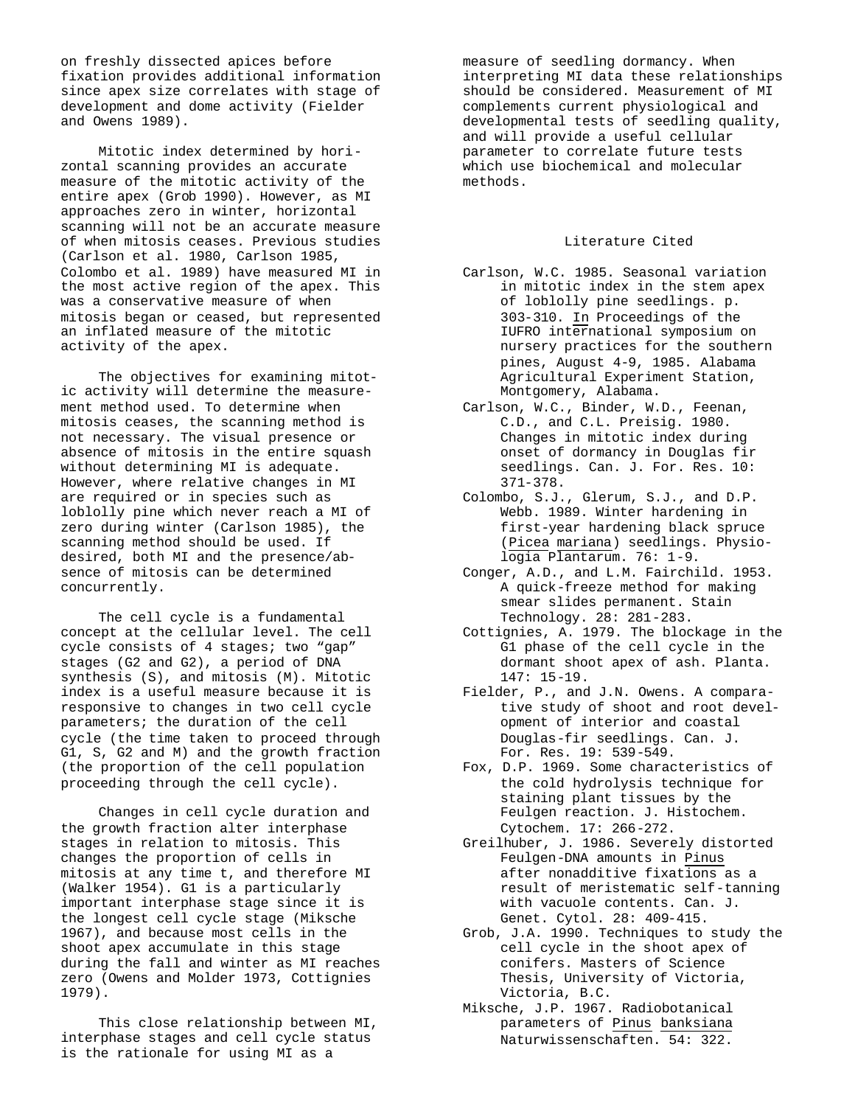on freshly dissected apices before fixation provides additional information since apex size correlates with stage of development and dome activity (Fielder and Owens 1989).

Mitotic index determined by horizontal scanning provides an accurate measure of the mitotic activity of the entire apex (Grob 1990). However, as MI approaches zero in winter, horizontal scanning will not be an accurate measure of when mitosis ceases. Previous studies (Carlson et al. 1980, Carlson 1985, Colombo et al. 1989) have measured MI in the most active region of the apex. This was a conservative measure of when mitosis began or ceased, but represented an inflated measure of the mitotic activity of the apex.

The objectives for examining mitotic activity will determine the measurement method used. To determine when mitosis ceases, the scanning method is not necessary. The visual presence or absence of mitosis in the entire squash without determining MI is adequate. However, where relative changes in MI are required or in species such as loblolly pine which never reach a MI of zero during winter (Carlson 1985), the scanning method should be used. If desired, both MI and the presence/absence of mitosis can be determined concurrently.

The cell cycle is a fundamental concept at the cellular level. The cell cycle consists of 4 stages; two "gap" stages (G2 and G2), a period of DNA synthesis (S), and mitosis (M). Mitotic index is a useful measure because it is responsive to changes in two cell cycle parameters; the duration of the cell cycle (the time taken to proceed through G1, S, G2 and M) and the growth fraction (the proportion of the cell population proceeding through the cell cycle).

Changes in cell cycle duration and the growth fraction alter interphase stages in relation to mitosis. This changes the proportion of cells in mitosis at any time t, and therefore MI (Walker 1954). G1 is a particularly important interphase stage since it is the longest cell cycle stage (Miksche 1967), and because most cells in the shoot apex accumulate in this stage during the fall and winter as MI reaches zero (Owens and Molder 1973, Cottignies 1979).

This close relationship between MI, interphase stages and cell cycle status is the rationale for using MI as a

measure of seedling dormancy. When interpreting MI data these relationships should be considered. Measurement of MI complements current physiological and developmental tests of seedling quality, and will provide a useful cellular parameter to correlate future tests which use biochemical and molecular methods.

### Literature Cited

- Carlson, W.C. 1985. Seasonal variation in mitotic index in the stem apex of loblolly pine seedlings. p. 303-310. In Proceedings of the IUFRO international symposium on nursery practices for the southern pines, August 4-9, 1985. Alabama Agricultural Experiment Station, Montgomery, Alabama.
- Carlson, W.C., Binder, W.D., Feenan, C.D., and C.L. Preisig. 1980. Changes in mitotic index during onset of dormancy in Douglas fir seedlings. Can. J. For. Res. 10: 371-378.
- Colombo, S.J., Glerum, S.J., and D.P. Webb. 1989. Winter hardening in first-year hardening black spruce (Picea mariana) seedlings. Physiologia Plantarum. 76: 1-9.
- Conger, A.D., and L.M. Fairchild. 1953. A quick-freeze method for making smear slides permanent. Stain Technology. 28: 281-283.
- Cottignies, A. 1979. The blockage in the G1 phase of the cell cycle in the dormant shoot apex of ash. Planta. 147: 15-19.
- Fielder, P., and J.N. Owens. A comparative study of shoot and root development of interior and coastal Douglas-fir seedlings. Can. J. For. Res. 19: 539-549.
- Fox, D.P. 1969. Some characteristics of the cold hydrolysis technique for staining plant tissues by the Feulgen reaction. J. Histochem. Cytochem. 17: 266-272.
- Greilhuber, J. 1986. Severely distorted Feulgen-DNA amounts in Pinus after nonadditive fixations as a result of meristematic self-tanning with vacuole contents. Can. J. Genet. Cytol. 28: 409-415.
- Grob, J.A. 1990. Techniques to study the cell cycle in the shoot apex of conifers. Masters of Science Thesis, University of Victoria, Victoria, B.C.
- Miksche, J.P. 1967. Radiobotanical parameters of Pinus banksiana Naturwissenschaften. 54: 322.